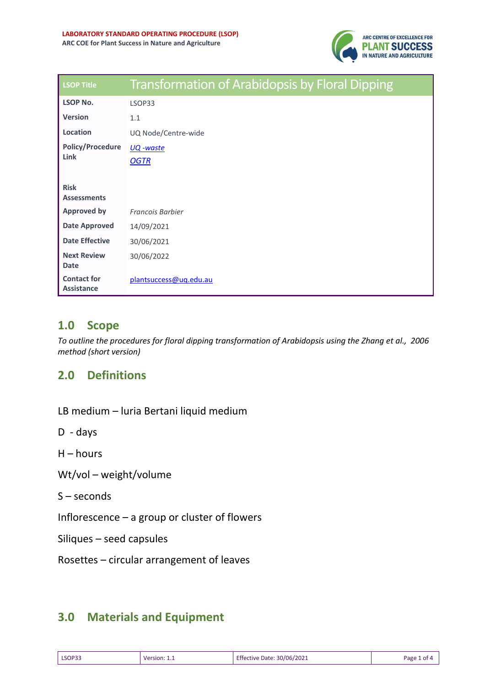

| <b>LSOP Title</b>                       | <b>Transformation of Arabidopsis by Floral Dipping</b> |
|-----------------------------------------|--------------------------------------------------------|
| <b>LSOP No.</b>                         | LSOP33                                                 |
| <b>Version</b>                          | 1.1                                                    |
| Location                                | UQ Node/Centre-wide                                    |
| <b>Policy/Procedure</b><br><b>Link</b>  | <u>UQ</u> -waste<br><b>OGTR</b>                        |
| <b>Risk</b><br><b>Assessments</b>       |                                                        |
| <b>Approved by</b>                      | <b>Francois Barbier</b>                                |
| <b>Date Approved</b>                    | 14/09/2021                                             |
| <b>Date Effective</b>                   | 30/06/2021                                             |
| <b>Next Review</b><br><b>Date</b>       | 30/06/2022                                             |
| <b>Contact for</b><br><b>Assistance</b> | plantsuccess@uq.edu.au                                 |

### **1.0 Scope**

*To outline the procedures for floral dipping transformation of Arabidopsis using the Zhang et al., 2006 method (short version)*

## **2.0 Definitions**

LB medium – luria Bertani liquid medium

D - days

 $H -$  hours

Wt/vol – weight/volume

S – seconds

Inflorescence – a group or cluster of flowers

Siliques – seed capsules

Rosettes – circular arrangement of leaves

## **3.0 Materials and Equipment**

| LSOP33 | rsion.<br>۱۵ | 30/06/2021<br>Date<br><b>TIVE</b> | Раре |
|--------|--------------|-----------------------------------|------|
|--------|--------------|-----------------------------------|------|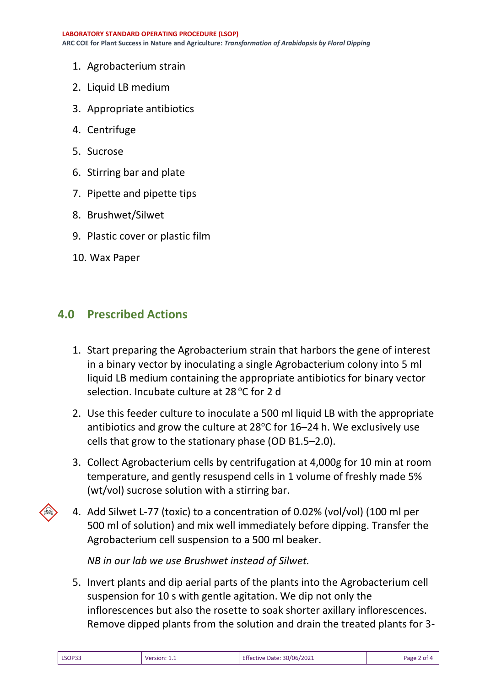- 1. Agrobacterium strain
- 2. Liquid LB medium
- 3. Appropriate antibiotics
- 4. Centrifuge
- 5. Sucrose
- 6. Stirring bar and plate
- 7. Pipette and pipette tips
- 8. Brushwet/Silwet
- 9. Plastic cover or plastic film
- 10. Wax Paper

#### **4.0 Prescribed Actions**

- 1. Start preparing the Agrobacterium strain that harbors the gene of interest in a binary vector by inoculating a single Agrobacterium colony into 5 ml liquid LB medium containing the appropriate antibiotics for binary vector selection. Incubate culture at 28 °C for 2 d
- 2. Use this feeder culture to inoculate a 500 ml liquid LB with the appropriate antibiotics and grow the culture at  $28^{\circ}$ C for 16–24 h. We exclusively use cells that grow to the stationary phase (OD B1.5–2.0).
- 3. Collect Agrobacterium cells by centrifugation at 4,000g for 10 min at room temperature, and gently resuspend cells in 1 volume of freshly made 5% (wt/vol) sucrose solution with a stirring bar.
- 4. Add Silwet L-77 (toxic) to a concentration of 0.02% (vol/vol) (100 ml per 500 ml of solution) and mix well immediately before dipping. Transfer the Agrobacterium cell suspension to a 500 ml beaker.

*NB in our lab we use Brushwet instead of Silwet.* 

5. Invert plants and dip aerial parts of the plants into the Agrobacterium cell suspension for 10 s with gentle agitation. We dip not only the inflorescences but also the rosette to soak shorter axillary inflorescences. Remove dipped plants from the solution and drain the treated plants for 3-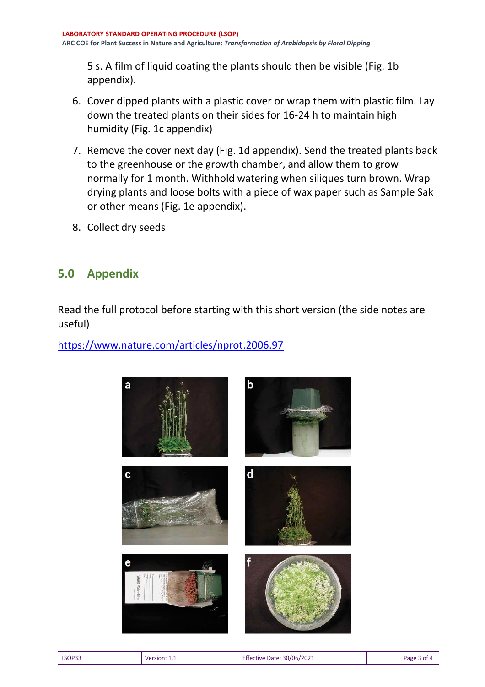5 s. A film of liquid coating the plants should then be visible (Fig. 1b appendix).

- 6. Cover dipped plants with a plastic cover or wrap them with plastic film. Lay down the treated plants on their sides for 16-24 h to maintain high humidity (Fig. 1c appendix)
- 7. Remove the cover next day (Fig. 1d appendix). Send the treated plants back to the greenhouse or the growth chamber, and allow them to grow normally for 1 month. Withhold watering when siliques turn brown. Wrap drying plants and loose bolts with a piece of wax paper such as Sample Sak or other means (Fig. 1e appendix).
- 8. Collect dry seeds

# **5.0 Appendix**

Read the full protocol before starting with this short version (the side notes are useful)

<https://www.nature.com/articles/nprot.2006.97>



| LSOP33 | Version:<br>_____ | <b>Effective Date: 30/06/2021</b> | Page<br>nt/ |
|--------|-------------------|-----------------------------------|-------------|
|        |                   |                                   |             |